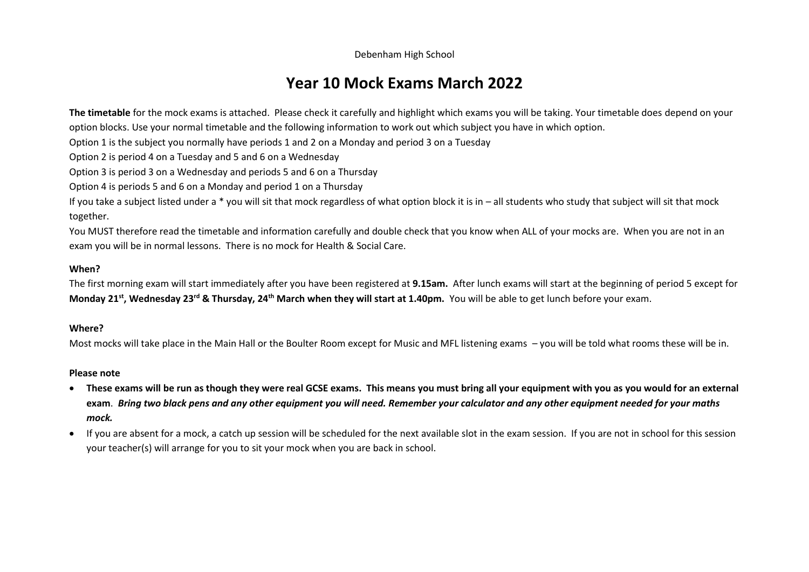Debenham High School

## **Year 10 Mock Exams March 2022**

**The timetable** for the mock exams is attached. Please check it carefully and highlight which exams you will be taking. Your timetable does depend on your option blocks. Use your normal timetable and the following information to work out which subject you have in which option.

Option 1 is the subject you normally have periods 1 and 2 on a Monday and period 3 on a Tuesday

Option 2 is period 4 on a Tuesday and 5 and 6 on a Wednesday

Option 3 is period 3 on a Wednesday and periods 5 and 6 on a Thursday

Option 4 is periods 5 and 6 on a Monday and period 1 on a Thursday

If you take a subject listed under a \* you will sit that mock regardless of what option block it is in – all students who study that subject will sit that mock together.

You MUST therefore read the timetable and information carefully and double check that you know when ALL of your mocks are. When you are not in an exam you will be in normal lessons. There is no mock for Health & Social Care.

## **When?**

The first morning exam will start immediately after you have been registered at **9.15am.** After lunch exams will start at the beginning of period 5 except for **Monday 21st, Wednesday 23rd & Thursday, 24th March when they will start at 1.40pm.** You will be able to get lunch before your exam.

## **Where?**

Most mocks will take place in the Main Hall or the Boulter Room except for Music and MFL listening exams – you will be told what rooms these will be in.

## **Please note**

- **These exams will be run as though they were real GCSE exams. This means you must bring all your equipment with you as you would for an external exam**. *Bring two black pens and any other equipment you will need. Remember your calculator and any other equipment needed for your maths mock.*
- If you are absent for a mock, a catch up session will be scheduled for the next available slot in the exam session. If you are not in school for this session your teacher(s) will arrange for you to sit your mock when you are back in school.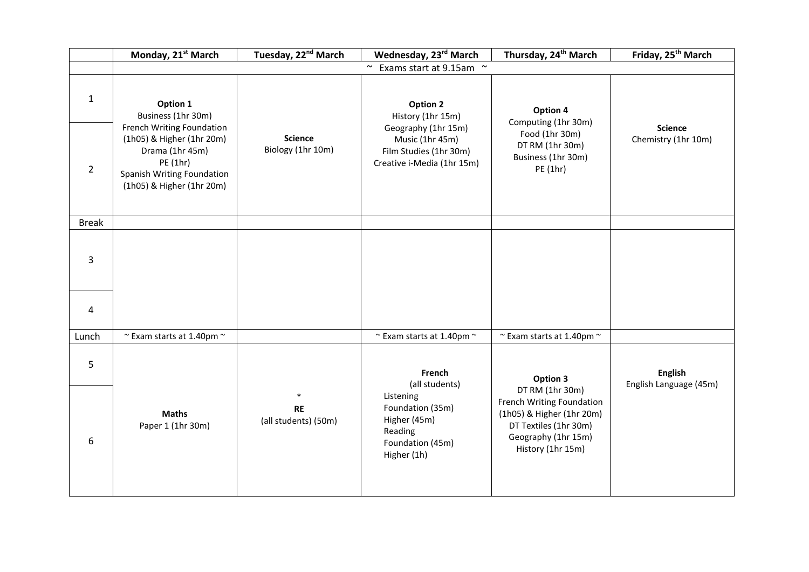|                | Monday, 21st March                                                                                                                               | Tuesday, 22 <sup>nd</sup> March     | Wednesday, 23rd March                                                                          | Thursday, 24 <sup>th</sup> March                                                                                                               | Friday, 25 <sup>th</sup> March           |  |  |  |
|----------------|--------------------------------------------------------------------------------------------------------------------------------------------------|-------------------------------------|------------------------------------------------------------------------------------------------|------------------------------------------------------------------------------------------------------------------------------------------------|------------------------------------------|--|--|--|
|                | Exams start at 9.15am ~<br>$\sim$                                                                                                                |                                     |                                                                                                |                                                                                                                                                |                                          |  |  |  |
| $\mathbf{1}$   | Option 1<br>Business (1hr 30m)                                                                                                                   |                                     | <b>Option 2</b><br>History (1hr 15m)                                                           | Option 4<br>Computing (1hr 30m)                                                                                                                |                                          |  |  |  |
| $\overline{2}$ | French Writing Foundation<br>(1h05) & Higher (1hr 20m)<br>Drama (1hr 45m)<br>PE (1hr)<br>Spanish Writing Foundation<br>(1h05) & Higher (1hr 20m) | <b>Science</b><br>Biology (1hr 10m) | Geography (1hr 15m)<br>Music (1hr 45m)<br>Film Studies (1hr 30m)<br>Creative i-Media (1hr 15m) | Food (1hr 30m)<br>DT RM (1hr 30m)<br>Business (1hr 30m)<br>PE (1hr)                                                                            | <b>Science</b><br>Chemistry (1hr 10m)    |  |  |  |
| <b>Break</b>   |                                                                                                                                                  |                                     |                                                                                                |                                                                                                                                                |                                          |  |  |  |
| 3              |                                                                                                                                                  |                                     |                                                                                                |                                                                                                                                                |                                          |  |  |  |
| 4              |                                                                                                                                                  |                                     |                                                                                                |                                                                                                                                                |                                          |  |  |  |
| Lunch          | $\sim$ Exam starts at 1.40pm $\sim$                                                                                                              |                                     | $\sim$ Exam starts at 1.40pm $\sim$                                                            | $\sim$ Exam starts at 1.40pm $\sim$                                                                                                            |                                          |  |  |  |
| 5              |                                                                                                                                                  |                                     | French<br>(all students)                                                                       | Option 3                                                                                                                                       | <b>English</b><br>English Language (45m) |  |  |  |
| 6              | <b>Maths</b><br>Paper 1 (1hr 30m)                                                                                                                | <b>RE</b><br>(all students) (50m)   | Listening<br>Foundation (35m)<br>Higher (45m)<br>Reading<br>Foundation (45m)<br>Higher (1h)    | DT RM (1hr 30m)<br>French Writing Foundation<br>(1h05) & Higher (1hr 20m)<br>DT Textiles (1hr 30m)<br>Geography (1hr 15m)<br>History (1hr 15m) |                                          |  |  |  |